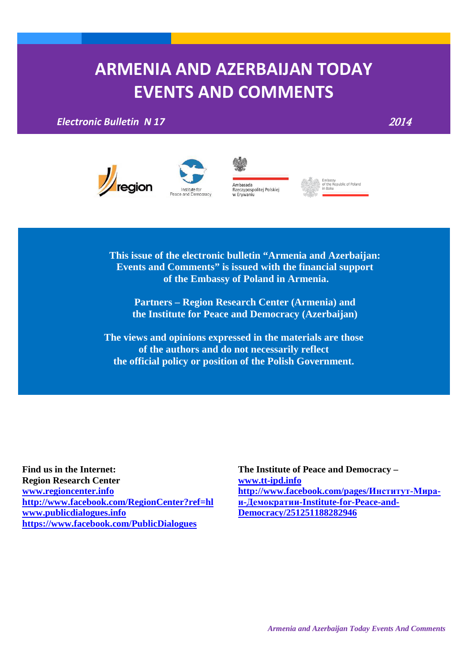# **ARMENIA AND AZERBAIJAN TODAY EVENTS AND COMMENTS**

*Electronic Bulletin N 17* 2014









**This issue of the electronic bulletin "Armenia and Azerbaijan: Events and Comments" is issued with the financial support of the Embassy of Poland in Armenia.**

**Partners – Region Research Center (Armenia) and the Institute for Peace and Democracy (Azerbaijan)**

**The views and opinions expressed in the materials are those of the authors and do not necessarily reflect the official policy or position of the Polish Government.**

**Find us in the Internet:**

**Region Research Center [www.regioncenter.info](http://www.regioncenter.info/) <http://www.facebook.com/RegionCenter?ref=hl> [www.publicdialogues.info](http://www.publicdialogues.info/) <https://www.facebook.com/PublicDialogues>**

**The Institute of Peace and Democracy – [www.tt-ipd.info](http://www.tt-ipd.info/) [http://www.facebook.com/pages/](http://www.facebook.com/pages/%D0%98%D0%BD%D1%81%D1%82%D0%B8%D1%82%D1%83%D1%82-%D0%9C%D0%B8%D1%80%D0%B0-%D0%B8-%D0%94%D0%B5%D0%BC%D0%BE%D0%BA%D1%80%D0%B0%D1%82%D0%B8%D0%B8-Institute-for-Peace-and-Democracy/251251188282946)Институт-Мираи-Демократии[-Institute-for-Peace-and-](http://www.facebook.com/pages/%D0%98%D0%BD%D1%81%D1%82%D0%B8%D1%82%D1%83%D1%82-%D0%9C%D0%B8%D1%80%D0%B0-%D0%B8-%D0%94%D0%B5%D0%BC%D0%BE%D0%BA%D1%80%D0%B0%D1%82%D0%B8%D0%B8-Institute-for-Peace-and-Democracy/251251188282946)[Democracy/251251188282946](http://www.facebook.com/pages/%D0%98%D0%BD%D1%81%D1%82%D0%B8%D1%82%D1%83%D1%82-%D0%9C%D0%B8%D1%80%D0%B0-%D0%B8-%D0%94%D0%B5%D0%BC%D0%BE%D0%BA%D1%80%D0%B0%D1%82%D0%B8%D0%B8-Institute-for-Peace-and-Democracy/251251188282946)**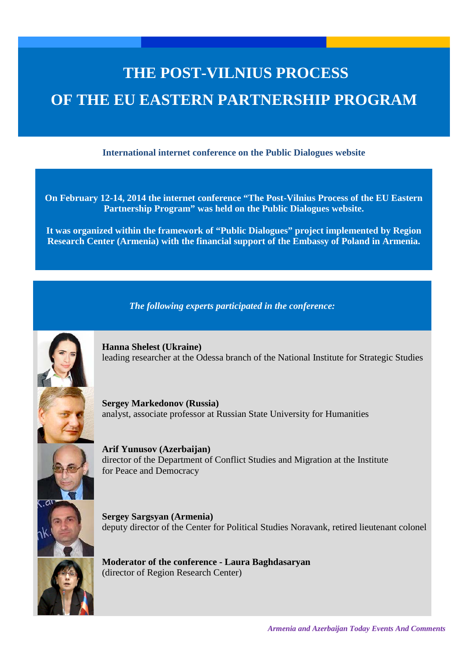# **THE POST-VILNIUS PROCESS OF THE EU EASTERN PARTNERSHIP PROGRAM**

**International internet conference on the Public Dialogues website**

**On February 12-14, 2014 the internet conference "The Post-Vilnius Process of the EU Eastern Partnership Program" was held on the Public Dialogues website.**

**It was organized within the framework of "Public Dialogues" project implemented by Region Research Center (Armenia) with the financial support of the Embassy of Poland in Armenia.**

*The following experts participated in the conference:*



**Hanna Shelest (Ukraine)** leading researcher at the Odessa branch of the National Institute for Strategic Studies

**Sergey Markedonov (Russia)** analyst, associate professor at Russian State University for Humanities



**Arif Yunusov (Azerbaijan)** director of the Department of Conflict Studies and Migration at the Institute for Peace and Democracy

**Sergey Sargsyan (Armenia)** deputy director of the Center for Political Studies Noravank, retired lieutenant colonel



**Moderator of the conference - Laura Baghdasaryan** (director of Region Research Center)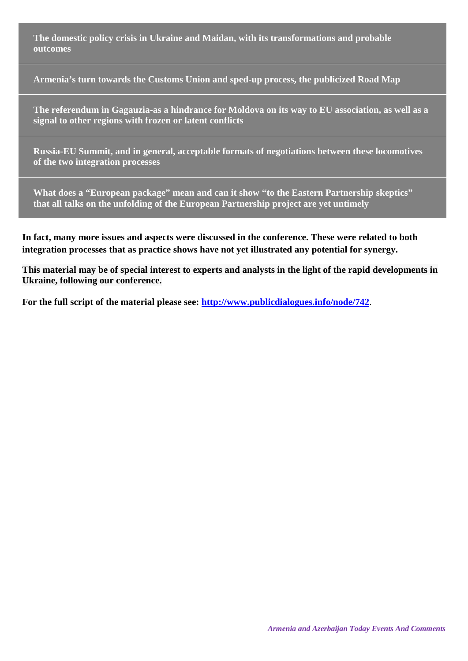**The domestic policy crisis in Ukraine and Maidan, with its transformations and probable outcomes**

**Armenia's turn towards the Customs Union and sped-up process, the publicized Road Map**

**The referendum in Gagauzia-as a hindrance for Moldova on its way to EU association, as well as a signal to other regions with frozen or latent conflicts**

**Russia-EU Summit, and in general, acceptable formats of negotiations between these locomotives of the two integration processes**

**What does a "European package" mean and can it show "to the Eastern Partnership skeptics" that all talks on the unfolding of the European Partnership project are yet untimely**

**In fact, many more issues and aspects were discussed in the conference. These were related to both integration processes that as practice shows have not yet illustrated any potential for synergy.**

**This material may be of special interest to experts and analysts in the light of the rapid developments in Ukraine, following our conference.**

**For the full script of the material please see:<http://www.publicdialogues.info/node/742>**.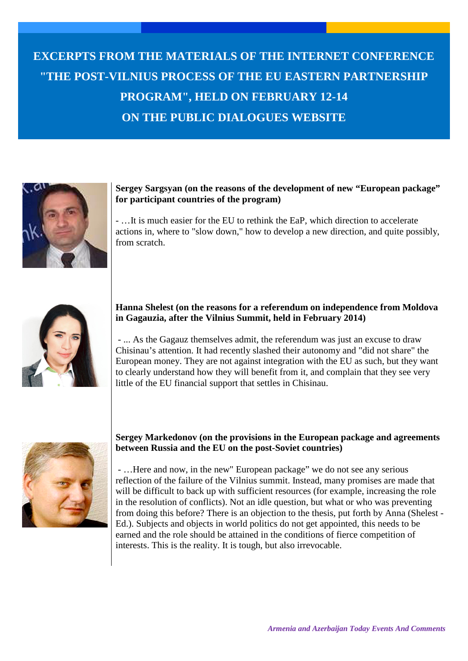# **EXCERPTS FROM THE MATERIALS OF THE INTERNET CONFERENCE "THE POST-VILNIUS PROCESS OF THE EU EASTERN PARTNERSHIP PROGRAM", HELD ON FEBRUARY 12-14 ON THE PUBLIC DIALOGUES WEBSITE**



#### **Sergey Sargsyan (on the reasons of the development of new "European package" for participant countries of the program)**

- …It is much easier for the EU to rethink the EaP, which direction to accelerate actions in, where to "slow down," how to develop a new direction, and quite possibly, from scratch.



# **Hanna Shelest (on the reasons for a referendum on independence from Moldova in Gagauzia, after the Vilnius Summit, held in February 2014)**

- ... As the Gagauz themselves admit, the referendum was just an excuse to draw Chisinau's attention. It had recently slashed their autonomy and "did not share" the European money. They are not against integration with the EU as such, but they want to clearly understand how they will benefit from it, and complain that they see very little of the EU financial support that settles in Chisinau.



### **Sergey Markedonov (on the provisions in the European package and agreements between Russia and the EU on the post-Soviet countries)**

- …Here and now, in the new" European package" we do not see any serious reflection of the failure of the Vilnius summit. Instead, many promises are made that will be difficult to back up with sufficient resources (for example, increasing the role in the resolution of conflicts). Not an idle question, but what or who was preventing from doing this before? There is an objection to the thesis, put forth by Anna (Shelest - Ed.). Subjects and objects in world politics do not get appointed, this needs to be earned and the role should be attained in the conditions of fierce competition of interests. This is the reality. It is tough, but also irrevocable.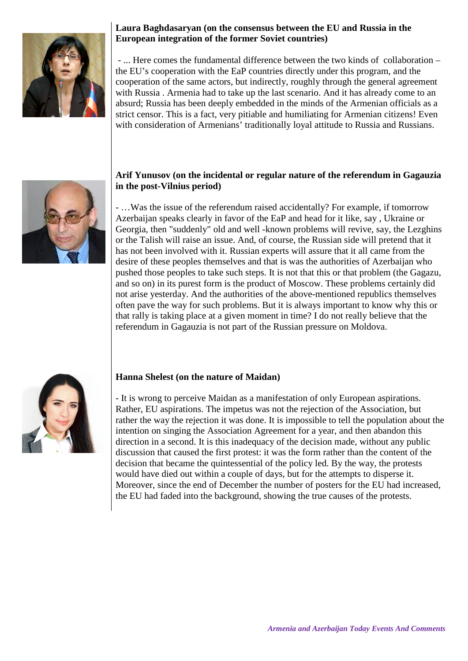

# **Laura Baghdasaryan (on the consensus between the EU and Russia in the European integration of the former Soviet countries)**

- ... Here comes the fundamental difference between the two kinds of collaboration – the EU's cooperation with the EaP countries directly under this program, and the cooperation of the same actors, but indirectly, roughly through the general agreement with Russia . Armenia had to take up the last scenario. And it has already come to an absurd; Russia has been deeply embedded in the minds of the Armenian officials as a strict censor. This is a fact, very pitiable and humiliating for Armenian citizens! Even with consideration of Armenians' traditionally loyal attitude to Russia and Russians.

# **Arif Yunusov (on the incidental or regular nature of the referendum in Gagauzia in the post-Vilnius period)**

- …Was the issue of the referendum raised accidentally? For example, if tomorrow Azerbaijan speaks clearly in favor of the EaP and head for it like, say , Ukraine or Georgia, then "suddenly" old and well -known problems will revive, say, the Lezghins or the Talish will raise an issue. And, of course, the Russian side will pretend that it has not been involved with it. Russian experts will assure that it all came from the desire of these peoples themselves and that is was the authorities of Azerbaijan who pushed those peoples to take such steps. It is not that this or that problem (the Gagazu, and so on) in its purest form is the product of Moscow. These problems certainly did not arise yesterday. And the authorities of the above-mentioned republics themselves often pave the way for such problems. But it is always important to know why this or that rally is taking place at a given moment in time? I do not really believe that the referendum in Gagauzia is not part of the Russian pressure on Moldova.



# **Hanna Shelest (on the nature of Maidan)**

- It is wrong to perceive Maidan as a manifestation of only European aspirations. Rather, EU aspirations. The impetus was not the rejection of the Association, but rather the way the rejection it was done. It is impossible to tell the population about the intention on singing the Association Agreement for a year, and then abandon this direction in a second. It is this inadequacy of the decision made, without any public discussion that caused the first protest: it was the form rather than the content of the decision that became the quintessential of the policy led. By the way, the protests would have died out within a couple of days, but for the attempts to disperse it. Moreover, since the end of December the number of posters for the EU had increased, the EU had faded into the background, showing the true causes of the protests.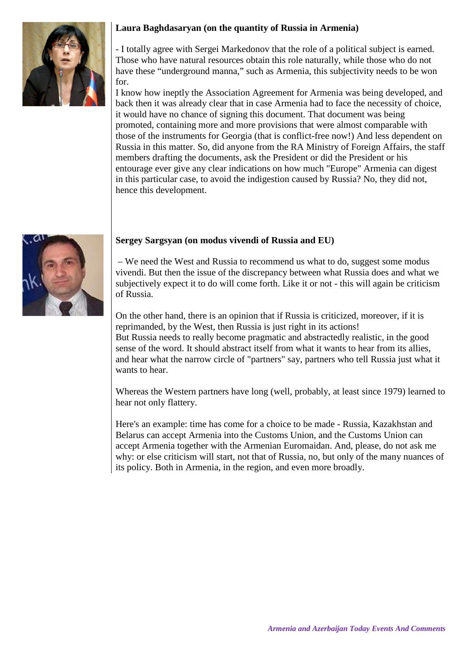# **Laura Baghdasaryan (on the quantity of Russia in Armenia)**



- I totally agree with Sergei Markedonov that the role of a political subject is earned. Those who have natural resources obtain this role naturally, while those who do not have these "underground manna," such as Armenia, this subjectivity needs to be won for.

I know how ineptly the Association Agreement for Armenia was being developed, and back then it was already clear that in case Armenia had to face the necessity of choice, it would have no chance of signing this document. That document was being promoted, containing more and more provisions that were almost comparable with those of the instruments for Georgia (that is conflict-free now!) And less dependent on Russia in this matter. So, did anyone from the RA Ministry of Foreign Affairs, the staff members drafting the documents, ask the President or did the President or his entourage ever give any clear indications on how much "Europe" Armenia can digest in this particular case, to avoid the indigestion caused by Russia? No, they did not, hence this development.



# **Sergey Sargsyan (on modus vivendi of Russia and EU)**

– We need the West and Russia to recommend us what to do, suggest some modus vivendi. But then the issue of the discrepancy between what Russia does and what we subjectively expect it to do will come forth. Like it or not - this will again be criticism of Russia.

On the other hand, there is an opinion that if Russia is criticized, moreover, if it is reprimanded, by the West, then Russia is just right in its actions! But Russia needs to really become pragmatic and abstractedly realistic, in the good sense of the word. It should abstract itself from what it wants to hear from its allies, and hear what the narrow circle of "partners" say, partners who tell Russia just what it wants to hear.

Whereas the Western partners have long (well, probably, at least since 1979) learned to hear not only flattery.

Here's an example: time has come for a choice to be made - Russia, Kazakhstan and Belarus can accept Armenia into the Customs Union, and the Customs Union can accept Armenia together with the Armenian Euromaidan. And, please, do not ask me why: or else criticism will start, not that of Russia, no, but only of the many nuances of its policy. Both in Armenia, in the region, and even more broadly.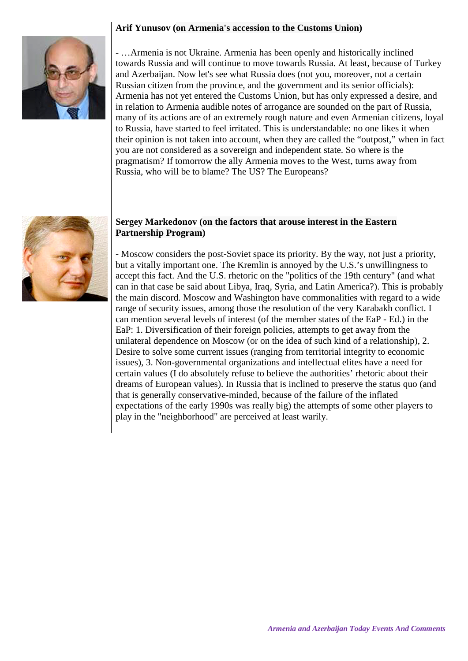### **Arif Yunusov (on Armenia's accession to the Customs Union)**



- …Armenia is not Ukraine. Armenia has been openly and historically inclined towards Russia and will continue to move towards Russia. At least, because of Turkey and Azerbaijan. Now let's see what Russia does (not you, moreover, not a certain Russian citizen from the province, and the government and its senior officials): Armenia has not yet entered the Customs Union, but has only expressed a desire, and in relation to Armenia audible notes of arrogance are sounded on the part of Russia, many of its actions are of an extremely rough nature and even Armenian citizens, loyal to Russia, have started to feel irritated. This is understandable: no one likes it when their opinion is not taken into account, when they are called the "outpost," when in fact you are not considered as a sovereign and independent state. So where is the pragmatism? If tomorrow the ally Armenia moves to the West, turns away from Russia, who will be to blame? The US? The Europeans?



#### **Sergey Markedonov (on the factors that arouse interest in the Eastern Partnership Program)**

- Moscow considers the post-Soviet space its priority. By the way, not just a priority, but a vitally important one. The Kremlin is annoyed by the U.S.'s unwillingness to accept this fact. And the U.S. rhetoric on the "politics of the 19th century" (and what can in that case be said about Libya, Iraq, Syria, and Latin America?). This is probably the main discord. Moscow and Washington have commonalities with regard to a wide range of security issues, among those the resolution of the very Karabakh conflict. I can mention several levels of interest (of the member states of the EaP - Ed.) in the EaP: 1. Diversification of their foreign policies, attempts to get away from the unilateral dependence on Moscow (or on the idea of such kind of a relationship), 2. Desire to solve some current issues (ranging from territorial integrity to economic issues), 3. Non-governmental organizations and intellectual elites have a need for certain values (I do absolutely refuse to believe the authorities' rhetoric about their dreams of European values). In Russia that is inclined to preserve the status quo (and that is generally conservative-minded, because of the failure of the inflated expectations of the early 1990s was really big) the attempts of some other players to play in the "neighborhood" are perceived at least warily.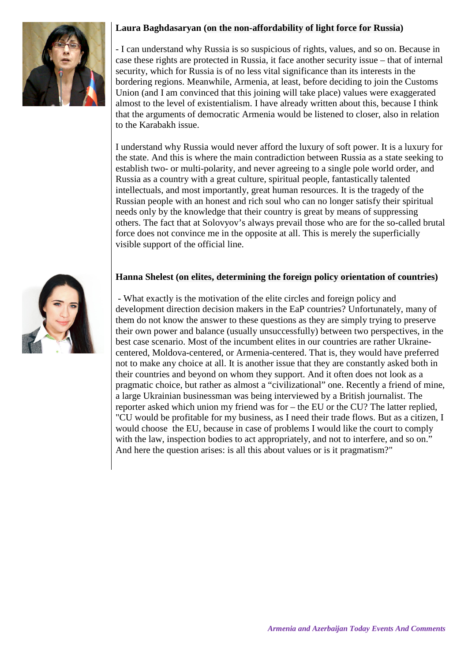# **Laura Baghdasaryan (on the non-affordability of light force for Russia)**



- I can understand why Russia is so suspicious of rights, values, and so on. Because in case these rights are protected in Russia, it face another security issue – that of internal security, which for Russia is of no less vital significance than its interests in the bordering regions. Meanwhile, Armenia, at least, before deciding to join the Customs Union (and I am convinced that this joining will take place) values were exaggerated almost to the level of existentialism. I have already written about this, because I think that the arguments of democratic Armenia would be listened to closer, also in relation to the Karabakh issue.

I understand why Russia would never afford the luxury of soft power. It is a luxury for the state. And this is where the main contradiction between Russia as a state seeking to establish two- or multi-polarity, and never agreeing to a single pole world order, and Russia as a country with a great culture, spiritual people, fantastically talented intellectuals, and most importantly, great human resources. It is the tragedy of the Russian people with an honest and rich soul who can no longer satisfy their spiritual needs only by the knowledge that their country is great by means of suppressing others. The fact that at Solovyov's always prevail those who are for the so-called brutal force does not convince me in the opposite at all. This is merely the superficially visible support of the official line.

#### **Hanna Shelest (on elites, determining the foreign policy orientation of countries)**

- What exactly is the motivation of the elite circles and foreign policy and development direction decision makers in the EaP countries? Unfortunately, many of them do not know the answer to these questions as they are simply trying to preserve their own power and balance (usually unsuccessfully) between two perspectives, in the best case scenario. Most of the incumbent elites in our countries are rather Ukrainecentered, Moldova-centered, or Armenia-centered. That is, they would have preferred not to make any choice at all. It is another issue that they are constantly asked both in their countries and beyond on whom they support. And it often does not look as a pragmatic choice, but rather as almost a "civilizational" one. Recently a friend of mine, a large Ukrainian businessman was being interviewed by a British journalist. The reporter asked which union my friend was for – the EU or the CU? The latter replied, "CU would be profitable for my business, as I need their trade flows. But as a citizen, I would choose the EU, because in case of problems I would like the court to comply with the law, inspection bodies to act appropriately, and not to interfere, and so on." And here the question arises: is all this about values or is it pragmatism?"

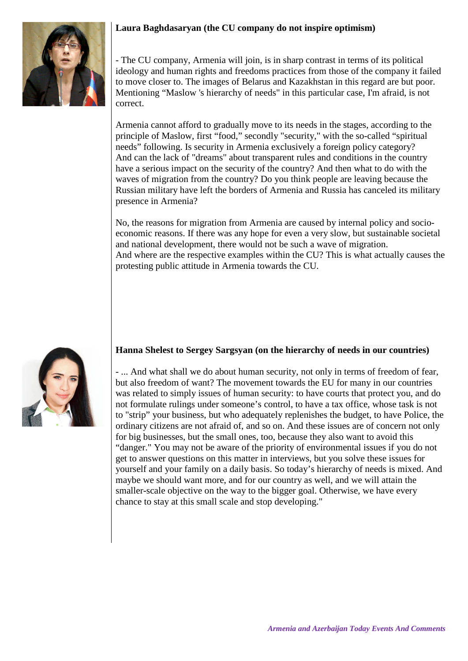# **Laura Baghdasaryan (the CU company do not inspire optimism)**



- The CU company, Armenia will join, is in sharp contrast in terms of its political ideology and human rights and freedoms practices from those of the company it failed to move closer to. The images of Belarus and Kazakhstan in this regard are but poor. Mentioning "Maslow 's hierarchy of needs" in this particular case, I'm afraid, is not correct.

Armenia cannot afford to gradually move to its needs in the stages, according to the principle of Maslow, first "food," secondly "security," with the so-called "spiritual needs" following. Is security in Armenia exclusively a foreign policy category? And can the lack of "dreams" about transparent rules and conditions in the country have a serious impact on the security of the country? And then what to do with the waves of migration from the country? Do you think people are leaving because the Russian military have left the borders of Armenia and Russia has canceled its military presence in Armenia?

No, the reasons for migration from Armenia are caused by internal policy and socioeconomic reasons. If there was any hope for even a very slow, but sustainable societal and national development, there would not be such a wave of migration. And where are the respective examples within the CU? This is what actually causes the protesting public attitude in Armenia towards the CU.



#### **Hanna Shelest to Sergey Sargsyan (on the hierarchy of needs in our countries)**

- ... And what shall we do about human security, not only in terms of freedom of fear, but also freedom of want? The movement towards the EU for many in our countries was related to simply issues of human security: to have courts that protect you, and do not formulate rulings under someone's control, to have a tax office, whose task is not to "strip" your business, but who adequately replenishes the budget, to have Police, the ordinary citizens are not afraid of, and so on. And these issues are of concern not only for big businesses, but the small ones, too, because they also want to avoid this "danger." You may not be aware of the priority of environmental issues if you do not get to answer questions on this matter in interviews, but you solve these issues for yourself and your family on a daily basis. So today's hierarchy of needs is mixed. And maybe we should want more, and for our country as well, and we will attain the smaller-scale objective on the way to the bigger goal. Otherwise, we have every chance to stay at this small scale and stop developing."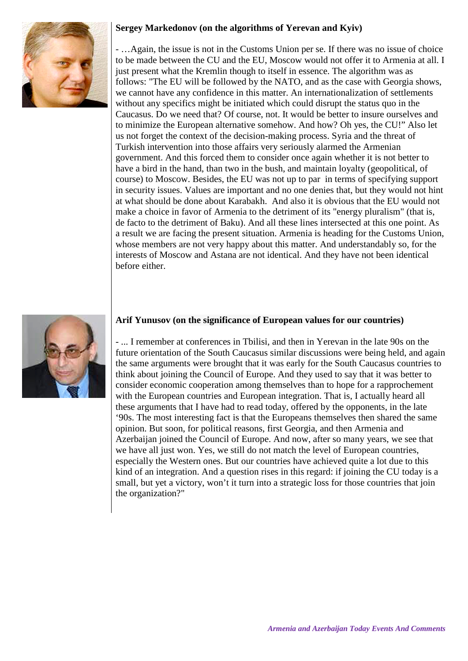# **Sergey Markedonov (on the algorithms of Yerevan and Kyiv)**



- …Again, the issue is not in the Customs Union per se. If there was no issue of choice to be made between the CU and the EU, Moscow would not offer it to Armenia at all. I just present what the Kremlin though to itself in essence. The algorithm was as follows: "The EU will be followed by the NATO, and as the case with Georgia shows, we cannot have any confidence in this matter. An internationalization of settlements without any specifics might be initiated which could disrupt the status quo in the Caucasus. Do we need that? Of course, not. It would be better to insure ourselves and to minimize the European alternative somehow. And how? Oh yes, the CU!" Also let us not forget the context of the decision-making process. Syria and the threat of Turkish intervention into those affairs very seriously alarmed the Armenian government. And this forced them to consider once again whether it is not better to have a bird in the hand, than two in the bush, and maintain loyalty (geopolitical, of course) to Moscow. Besides, the EU was not up to par in terms of specifying support in security issues. Values are important and no one denies that, but they would not hint at what should be done about Karabakh. And also it is obvious that the EU would not make a choice in favor of Armenia to the detriment of its "energy pluralism" (that is, de facto to the detriment of Baku). And all these lines intersected at this one point. As a result we are facing the present situation. Armenia is heading for the Customs Union, whose members are not very happy about this matter. And understandably so, for the interests of Moscow and Astana are not identical. And they have not been identical before either.



### **Arif Yunusov (on the significance of European values for our countries)**

- ... I remember at conferences in Tbilisi, and then in Yerevan in the late 90s on the future orientation of the South Caucasus similar discussions were being held, and again the same arguments were brought that it was early for the South Caucasus countries to think about joining the Council of Europe. And they used to say that it was better to consider economic cooperation among themselves than to hope for a rapprochement with the European countries and European integration. That is, I actually heard all these arguments that I have had to read today, offered by the opponents, in the late '90s. The most interesting fact is that the Europeans themselves then shared the same opinion. But soon, for political reasons, first Georgia, and then Armenia and Azerbaijan joined the Council of Europe. And now, after so many years, we see that we have all just won. Yes, we still do not match the level of European countries, especially the Western ones. But our countries have achieved quite a lot due to this kind of an integration. And a question rises in this regard: if joining the CU today is a small, but yet a victory, won't it turn into a strategic loss for those countries that join the organization?"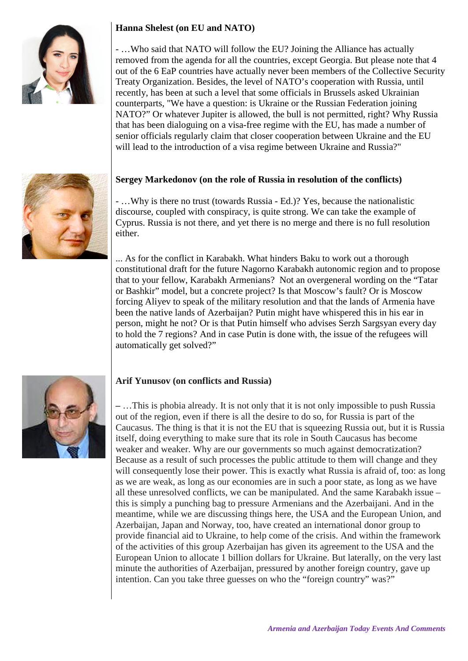# **Hanna Shelest (on EU and NATO)**



- …Who said that NATO will follow the EU? Joining the Alliance has actually removed from the agenda for all the countries, except Georgia. But please note that 4 out of the 6 EaP countries have actually never been members of the Collective Security Treaty Organization. Besides, the level of NATO's cooperation with Russia, until recently, has been at such a level that some officials in Brussels asked Ukrainian counterparts, "We have a question: is Ukraine or the Russian Federation joining NATO?" Or whatever Jupiter is allowed, the bull is not permitted, right? Why Russia that has been dialoguing on a visa-free regime with the EU, has made a number of senior officials regularly claim that closer cooperation between Ukraine and the EU will lead to the introduction of a visa regime between Ukraine and Russia?"

#### **Sergey Markedonov (on the role of Russia in resolution of the conflicts)**

- …Why is there no trust (towards Russia - Ed.)? Yes, because the nationalistic discourse, coupled with conspiracy, is quite strong. We can take the example of Cyprus. Russia is not there, and yet there is no merge and there is no full resolution either.

... As for the conflict in Karabakh. What hinders Baku to work out a thorough constitutional draft for the future Nagorno Karabakh autonomic region and to propose that to your fellow, Karabakh Armenians? Not an overgeneral wording on the "Tatar or Bashkir" model, but a concrete project? Is that Moscow's fault? Or is Moscow forcing Aliyev to speak of the military resolution and that the lands of Armenia have been the native lands of Azerbaijan? Putin might have whispered this in his ear in person, might he not? Or is that Putin himself who advises Serzh Sargsyan every day to hold the 7 regions? And in case Putin is done with, the issue of the refugees will automatically get solved?"



#### **Arif Yunusov (on conflicts and Russia)**

**–** …This is phobia already. It is not only that it is not only impossible to push Russia out of the region, even if there is all the desire to do so, for Russia is part of the Caucasus. The thing is that it is not the EU that is squeezing Russia out, but it is Russia itself, doing everything to make sure that its role in South Caucasus has become weaker and weaker. Why are our governments so much against democratization? Because as a result of such processes the public attitude to them will change and they will consequently lose their power. This is exactly what Russia is afraid of, too: as long as we are weak, as long as our economies are in such a poor state, as long as we have all these unresolved conflicts, we can be manipulated. And the same Karabakh issue – this is simply a punching bag to pressure Armenians and the Azerbaijani. And in the meantime, while we are discussing things here, the USA and the European Union, and Azerbaijan, Japan and Norway, too, have created an international donor group to provide financial aid to Ukraine, to help come of the crisis. And within the framework of the activities of this group Azerbaijan has given its agreement to the USA and the European Union to allocate 1 billion dollars for Ukraine. But laterally, on the very last minute the authorities of Azerbaijan, pressured by another foreign country, gave up intention. Can you take three guesses on who the "foreign country" was?"